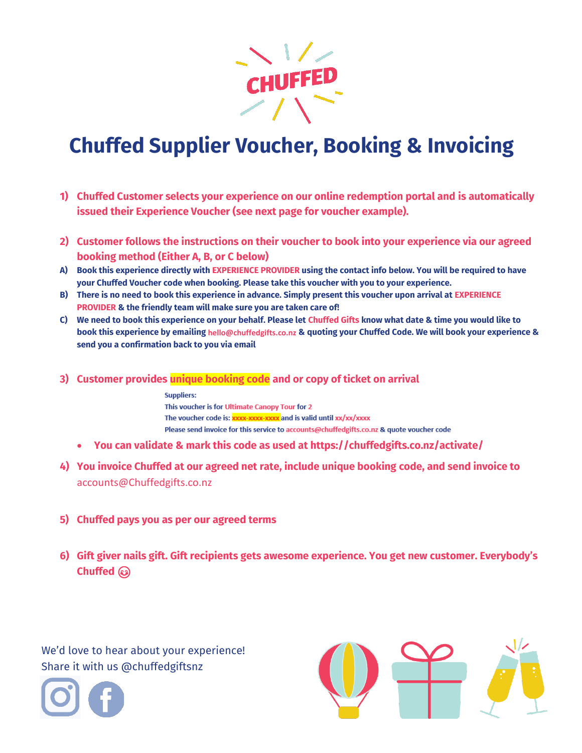

# **Chuffed Supplier Voucher, Booking & Invoicing**

- **1) Chuffed Customer selects your experience on our online redemption portal and is automatically issued their Experience Voucher (see next page for voucher example).**
- **2) Customer follows the instructions on their voucher to book into your experience via our agreed booking method (Either A, B, or C below)**
- **A) Book this experience directly with EXPERIENCE PROVIDER using the contact info below. You will be required to have your Chuffed Voucher code when booking. Please take this voucher with you to your experience.**
- **B) There is no need to book this experience in advance. Simply present this voucher upon arrival at EXPERIENCE PROVIDER & the friendly team will make sure you are taken care of!**
- **C) We need to book this experience on your behalf. Please let Chuffed Gifts know what date & time you would like to book this experience by emailing [hello@chuffedgifts.co.nz](mailto:hello@chuffedgifts.co.nz) & quoting your Chuffed Code. We will book your experience & send you a confirmation back to you via email**
- **3) Customer provides unique booking code and or copy of ticket on arrival**

**Suppliers:** This voucher is for Ultimate Canopy Tour for 2 The voucher code is: xxxx-xxxx-xxxx and is valid until xx/xx/xxxx Please send invoice for this service to accounts@chuffedgifts.co.nz & quote voucher code

- **You can validate & mark this code as used at https://chuffedgifts.co.nz/activate/**
- **4) You invoice Chuffed at our agreed net rate, include unique booking code, and send invoice to**  [accounts@Chuffedgifts.co.nz](mailto:accounts@Chuffedgifts.co.nz)
- **5) Chuffed pays you as per our agreed terms**
- **6) Gift giver nails gift. Gift recipients gets awesome experience. You get new customer. Everybody's Chuffed**

We'd love to hear about your experience! Share it with us @chuffedgiftsnz